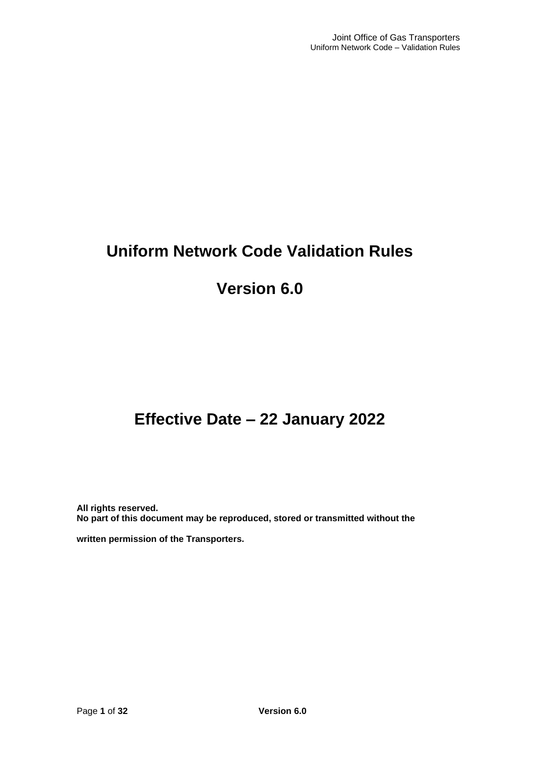# **Uniform Network Code Validation Rules**

# **Version 6.0**

# **Effective Date – 22 January 2022**

**All rights reserved. No part of this document may be reproduced, stored or transmitted without the** 

**written permission of the Transporters.**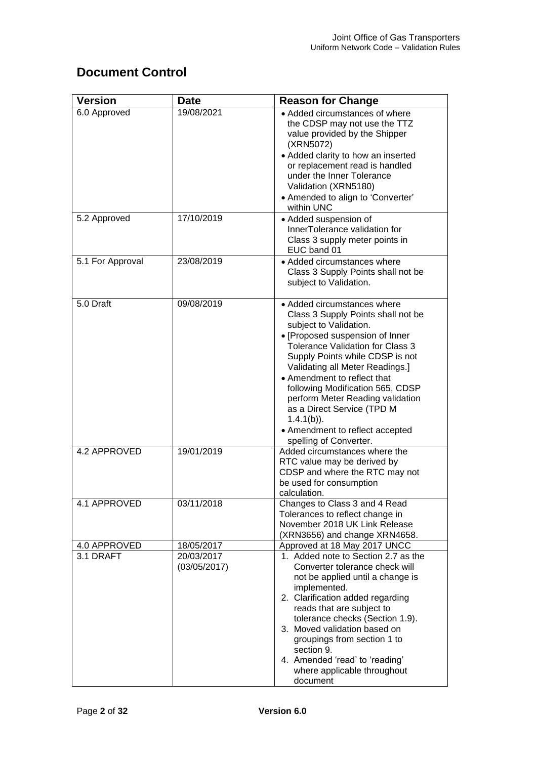## **Document Control**

| <b>Version</b>            | <b>Date</b>                              | <b>Reason for Change</b>                                                                                                                                                                                                                                                                                                                                                                                                                                           |
|---------------------------|------------------------------------------|--------------------------------------------------------------------------------------------------------------------------------------------------------------------------------------------------------------------------------------------------------------------------------------------------------------------------------------------------------------------------------------------------------------------------------------------------------------------|
| 6.0 Approved              | 19/08/2021                               | • Added circumstances of where<br>the CDSP may not use the TTZ<br>value provided by the Shipper<br>(XRN5072)<br>• Added clarity to how an inserted<br>or replacement read is handled<br>under the Inner Tolerance<br>Validation (XRN5180)<br>• Amended to align to 'Converter'                                                                                                                                                                                     |
| 5.2 Approved              | 17/10/2019                               | within UNC<br>• Added suspension of<br>InnerTolerance validation for<br>Class 3 supply meter points in<br>EUC band 01                                                                                                                                                                                                                                                                                                                                              |
| 5.1 For Approval          | 23/08/2019                               | • Added circumstances where<br>Class 3 Supply Points shall not be<br>subject to Validation.                                                                                                                                                                                                                                                                                                                                                                        |
| 5.0 Draft                 | 09/08/2019                               | • Added circumstances where<br>Class 3 Supply Points shall not be<br>subject to Validation.<br>• [Proposed suspension of Inner<br><b>Tolerance Validation for Class 3</b><br>Supply Points while CDSP is not<br>Validating all Meter Readings.]<br>• Amendment to reflect that<br>following Modification 565, CDSP<br>perform Meter Reading validation<br>as a Direct Service (TPD M<br>$1.4.1(b)$ ).<br>• Amendment to reflect accepted<br>spelling of Converter. |
| 4.2 APPROVED              | 19/01/2019                               | Added circumstances where the<br>RTC value may be derived by<br>CDSP and where the RTC may not<br>be used for consumption<br>calculation.                                                                                                                                                                                                                                                                                                                          |
| 4.1 APPROVED              | 03/11/2018                               | Changes to Class 3 and 4 Read<br>Tolerances to reflect change in<br>November 2018 UK Link Release<br>(XRN3656) and change XRN4658.                                                                                                                                                                                                                                                                                                                                 |
| 4.0 APPROVED<br>3.1 DRAFT | 18/05/2017<br>20/03/2017<br>(03/05/2017) | Approved at 18 May 2017 UNCC<br>1. Added note to Section 2.7 as the<br>Converter tolerance check will<br>not be applied until a change is<br>implemented.<br>2. Clarification added regarding<br>reads that are subject to<br>tolerance checks (Section 1.9).<br>3. Moved validation based on<br>groupings from section 1 to<br>section 9.<br>4. Amended 'read' to 'reading'<br>where applicable throughout<br>document                                            |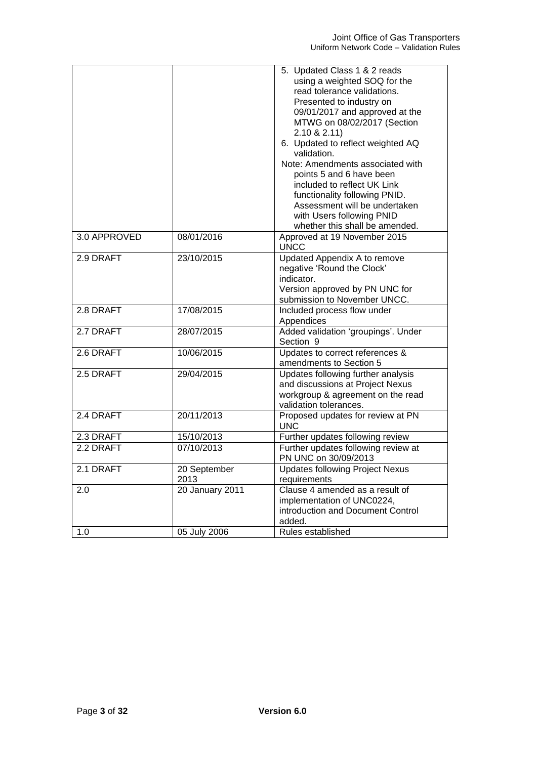|              |                         | 5. Updated Class 1 & 2 reads<br>using a weighted SOQ for the<br>read tolerance validations.<br>Presented to industry on<br>09/01/2017 and approved at the<br>MTWG on 08/02/2017 (Section<br>2.10 & 2.11<br>6. Updated to reflect weighted AQ<br>validation.<br>Note: Amendments associated with<br>points 5 and 6 have been<br>included to reflect UK Link<br>functionality following PNID.<br>Assessment will be undertaken<br>with Users following PNID<br>whether this shall be amended. |
|--------------|-------------------------|---------------------------------------------------------------------------------------------------------------------------------------------------------------------------------------------------------------------------------------------------------------------------------------------------------------------------------------------------------------------------------------------------------------------------------------------------------------------------------------------|
| 3.0 APPROVED | 08/01/2016              | Approved at 19 November 2015<br><b>UNCC</b>                                                                                                                                                                                                                                                                                                                                                                                                                                                 |
| 2.9 DRAFT    | 23/10/2015              | Updated Appendix A to remove<br>negative 'Round the Clock'<br>indicator.<br>Version approved by PN UNC for<br>submission to November UNCC.                                                                                                                                                                                                                                                                                                                                                  |
| 2.8 DRAFT    | 17/08/2015              | Included process flow under<br>Appendices                                                                                                                                                                                                                                                                                                                                                                                                                                                   |
| 2.7 DRAFT    | 28/07/2015              | Added validation 'groupings'. Under<br>Section 9                                                                                                                                                                                                                                                                                                                                                                                                                                            |
| 2.6 DRAFT    | 10/06/2015              | Updates to correct references &<br>amendments to Section 5                                                                                                                                                                                                                                                                                                                                                                                                                                  |
| 2.5 DRAFT    | 29/04/2015              | Updates following further analysis<br>and discussions at Project Nexus<br>workgroup & agreement on the read<br>validation tolerances.                                                                                                                                                                                                                                                                                                                                                       |
| 2.4 DRAFT    | 20/11/2013              | Proposed updates for review at PN<br>UNC                                                                                                                                                                                                                                                                                                                                                                                                                                                    |
| 2.3 DRAFT    | 15/10/2013              | Further updates following review                                                                                                                                                                                                                                                                                                                                                                                                                                                            |
| 2.2 DRAFT    | $\overline{07}/10/2013$ | Further updates following review at<br>PN UNC on 30/09/2013                                                                                                                                                                                                                                                                                                                                                                                                                                 |
| 2.1 DRAFT    | 20 September<br>2013    | Updates following Project Nexus<br>requirements                                                                                                                                                                                                                                                                                                                                                                                                                                             |
| 2.0          | 20 January 2011         | Clause 4 amended as a result of<br>implementation of UNC0224,<br>introduction and Document Control<br>added.                                                                                                                                                                                                                                                                                                                                                                                |
| 1.0          | 05 July 2006            | Rules established                                                                                                                                                                                                                                                                                                                                                                                                                                                                           |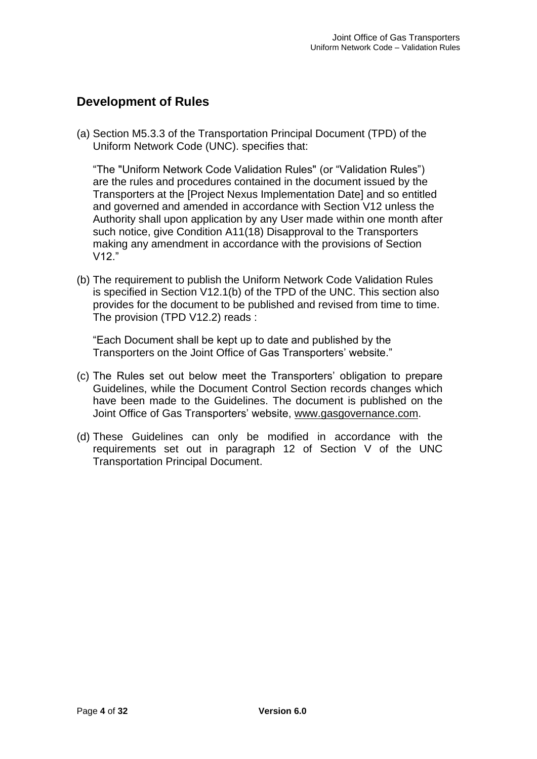## **Development of Rules**

(a) Section M5.3.3 of the Transportation Principal Document (TPD) of the Uniform Network Code (UNC). specifies that:

"The "Uniform Network Code Validation Rules" (or "Validation Rules") are the rules and procedures contained in the document issued by the Transporters at the [Project Nexus Implementation Date] and so entitled and governed and amended in accordance with Section V12 unless the Authority shall upon application by any User made within one month after such notice, give Condition A11(18) Disapproval to the Transporters making any amendment in accordance with the provisions of Section V12."

(b) The requirement to publish the Uniform Network Code Validation Rules is specified in Section V12.1(b) of the TPD of the UNC. This section also provides for the document to be published and revised from time to time. The provision (TPD V12.2) reads :

"Each Document shall be kept up to date and published by the Transporters on the Joint Office of Gas Transporters' website."

- (c) The Rules set out below meet the Transporters' obligation to prepare Guidelines, while the Document Control Section records changes which have been made to the Guidelines. The document is published on the Joint Office of Gas Transporters' website, www.gasgovernance.com.
- (d) These Guidelines can only be modified in accordance with the requirements set out in paragraph 12 of Section V of the UNC Transportation Principal Document.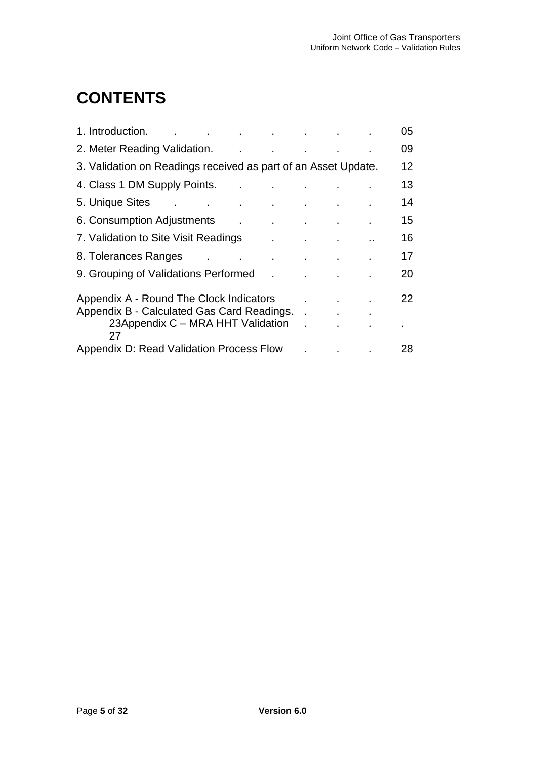# **CONTENTS**

| 1. Introduction.<br>and the control of the control of the con-                                                                                                                                                                 |              | <b>All Control</b>                             |                      | 05                        |
|--------------------------------------------------------------------------------------------------------------------------------------------------------------------------------------------------------------------------------|--------------|------------------------------------------------|----------------------|---------------------------|
| 2. Meter Reading Validation. The case of the control of the control of the control of the control of the control of the control of the control of the control of the control of the control of the control of the control of t |              |                                                |                      | 09                        |
| 3. Validation on Readings received as part of an Asset Update.                                                                                                                                                                 |              |                                                |                      | 12 <sup>2</sup>           |
| 4. Class 1 DM Supply Points. As a control of the set of the set of the set of the set of the set of the set of                                                                                                                 |              |                                                |                      | 13                        |
|                                                                                                                                                                                                                                |              |                                                |                      | 14                        |
| 6. Consumption Adjustments and the consumption Adjustments                                                                                                                                                                     |              |                                                |                      | 15 <sub>2</sub>           |
| 7. Validation to Site Visit Readings Theory of the U.S. Contains the U.S. A.                                                                                                                                                   |              |                                                | $\ddot{\phantom{a}}$ | 16                        |
| 8. Tolerances Ranges and the contract of the set of the set of the set of the set of the set of the set of the                                                                                                                 |              |                                                |                      | 17                        |
| 9. Grouping of Validations Performed                                                                                                                                                                                           | $\mathbf{L}$ | $\mathbf{r}$ and $\mathbf{r}$ and $\mathbf{r}$ |                      | 20                        |
| Appendix A - Round The Clock Indicators                                                                                                                                                                                        |              |                                                | $\mathbf{r}$         | 22                        |
| Appendix B - Calculated Gas Card Readings.                                                                                                                                                                                     |              |                                                |                      |                           |
| 23Appendix C - MRA HHT Validation<br>27                                                                                                                                                                                        |              |                                                |                      | $\mathbf{r} = \mathbf{r}$ |
| Appendix D: Read Validation Process Flow                                                                                                                                                                                       |              |                                                |                      | 28                        |
|                                                                                                                                                                                                                                |              |                                                |                      |                           |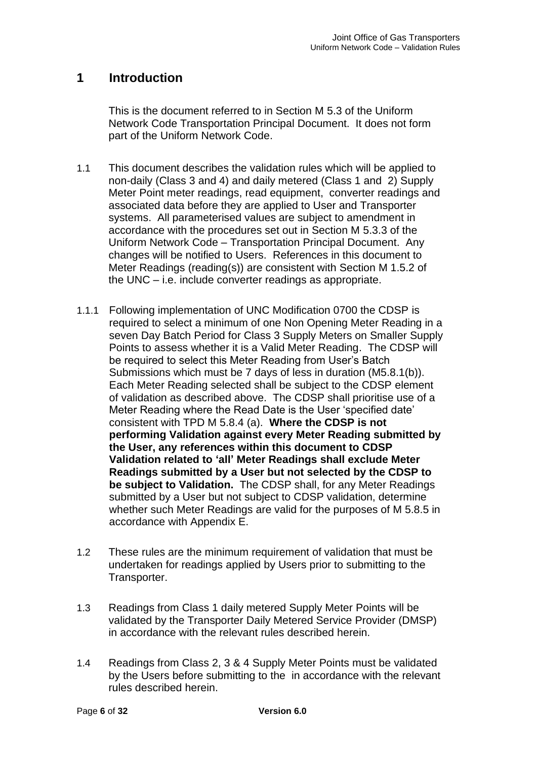## **1 Introduction**

This is the document referred to in Section M 5.3 of the Uniform Network Code Transportation Principal Document. It does not form part of the Uniform Network Code.

- 1.1 This document describes the validation rules which will be applied to non-daily (Class 3 and 4) and daily metered (Class 1 and 2) Supply Meter Point meter readings, read equipment, converter readings and associated data before they are applied to User and Transporter systems. All parameterised values are subject to amendment in accordance with the procedures set out in Section M 5.3.3 of the Uniform Network Code – Transportation Principal Document. Any changes will be notified to Users. References in this document to Meter Readings (reading(s)) are consistent with Section M 1.5.2 of the UNC – i.e. include converter readings as appropriate.
- 1.1.1 Following implementation of UNC Modification 0700 the CDSP is required to select a minimum of one Non Opening Meter Reading in a seven Day Batch Period for Class 3 Supply Meters on Smaller Supply Points to assess whether it is a Valid Meter Reading. The CDSP will be required to select this Meter Reading from User's Batch Submissions which must be 7 days of less in duration (M5.8.1(b)). Each Meter Reading selected shall be subject to the CDSP element of validation as described above. The CDSP shall prioritise use of a Meter Reading where the Read Date is the User 'specified date' consistent with TPD M 5.8.4 (a). **Where the CDSP is not performing Validation against every Meter Reading submitted by the User, any references within this document to CDSP Validation related to 'all' Meter Readings shall exclude Meter Readings submitted by a User but not selected by the CDSP to be subject to Validation.** The CDSP shall, for any Meter Readings submitted by a User but not subject to CDSP validation, determine whether such Meter Readings are valid for the purposes of M 5.8.5 in accordance with Appendix E.
- 1.2 These rules are the minimum requirement of validation that must be undertaken for readings applied by Users prior to submitting to the Transporter.
- 1.3 Readings from Class 1 daily metered Supply Meter Points will be validated by the Transporter Daily Metered Service Provider (DMSP) in accordance with the relevant rules described herein.
- 1.4 Readings from Class 2, 3 & 4 Supply Meter Points must be validated by the Users before submitting to the in accordance with the relevant rules described herein.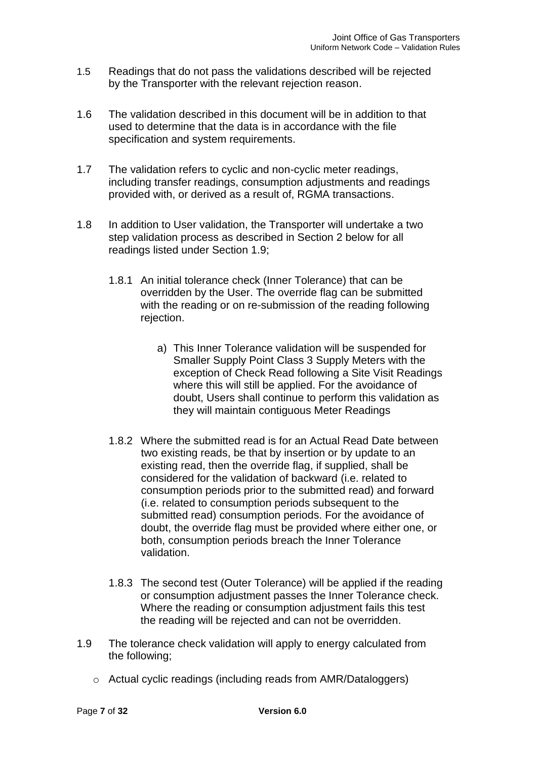- 1.5 Readings that do not pass the validations described will be rejected by the Transporter with the relevant rejection reason.
- 1.6 The validation described in this document will be in addition to that used to determine that the data is in accordance with the file specification and system requirements.
- 1.7 The validation refers to cyclic and non-cyclic meter readings, including transfer readings, consumption adjustments and readings provided with, or derived as a result of, RGMA transactions.
- 1.8 In addition to User validation, the Transporter will undertake a two step validation process as described in Section 2 below for all readings listed under Section 1.9;
	- 1.8.1 An initial tolerance check (Inner Tolerance) that can be overridden by the User. The override flag can be submitted with the reading or on re-submission of the reading following rejection.
		- a) This Inner Tolerance validation will be suspended for Smaller Supply Point Class 3 Supply Meters with the exception of Check Read following a Site Visit Readings where this will still be applied. For the avoidance of doubt, Users shall continue to perform this validation as they will maintain contiguous Meter Readings
	- 1.8.2 Where the submitted read is for an Actual Read Date between two existing reads, be that by insertion or by update to an existing read, then the override flag, if supplied, shall be considered for the validation of backward (i.e. related to consumption periods prior to the submitted read) and forward (i.e. related to consumption periods subsequent to the submitted read) consumption periods. For the avoidance of doubt, the override flag must be provided where either one, or both, consumption periods breach the Inner Tolerance validation.
	- 1.8.3 The second test (Outer Tolerance) will be applied if the reading or consumption adjustment passes the Inner Tolerance check. Where the reading or consumption adjustment fails this test the reading will be rejected and can not be overridden.
- 1.9 The tolerance check validation will apply to energy calculated from the following;
	- o Actual cyclic readings (including reads from AMR/Dataloggers)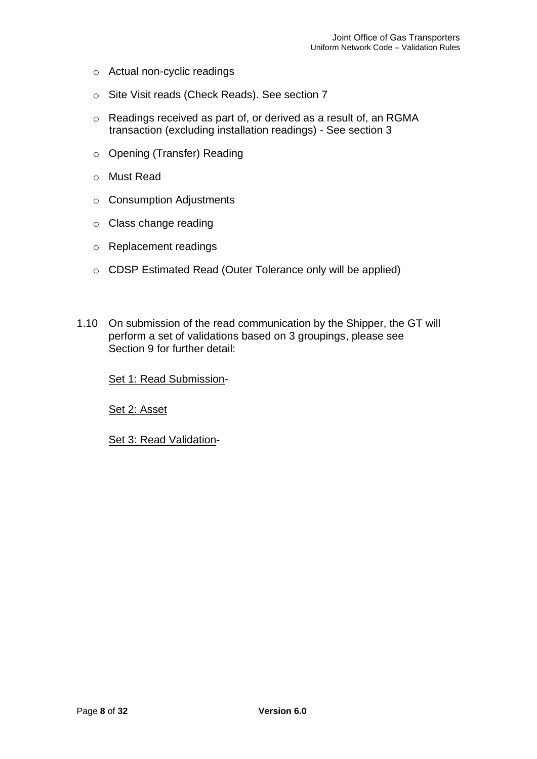- o Actual non-cyclic readings
- o Site Visit reads (Check Reads). See section 7
- o Readings received as part of, or derived as a result of, an RGMA transaction (excluding installation readings) - See section 3
- o Opening (Transfer) Reading
- o Must Read
- o Consumption Adjustments
- o Class change reading
- o Replacement readings
- o CDSP Estimated Read (Outer Tolerance only will be applied)
- 1.10 On submission of the read communication by the Shipper, the GT will perform a set of validations based on 3 groupings, please see Section 9 for further detail:

Set 1: Read Submission-

Set 2: Asset

Set 3: Read Validation-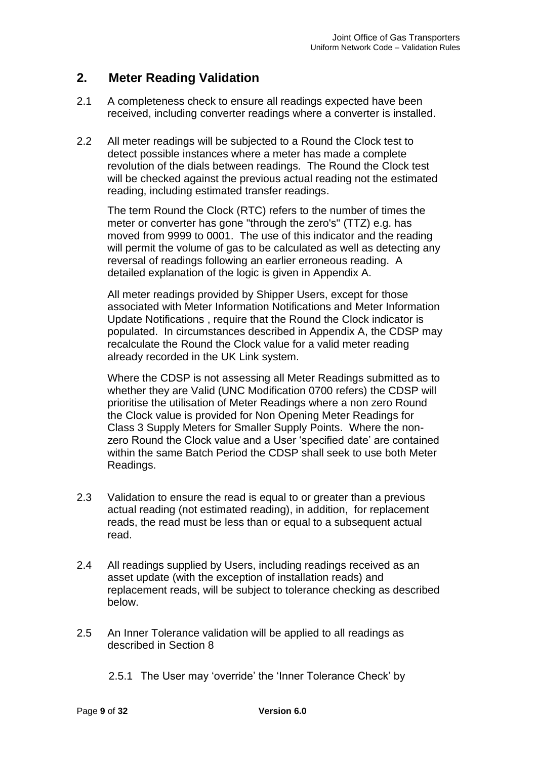### **2. Meter Reading Validation**

- 2.1 A completeness check to ensure all readings expected have been received, including converter readings where a converter is installed.
- 2.2 All meter readings will be subjected to a Round the Clock test to detect possible instances where a meter has made a complete revolution of the dials between readings. The Round the Clock test will be checked against the previous actual reading not the estimated reading, including estimated transfer readings.

The term Round the Clock (RTC) refers to the number of times the meter or converter has gone "through the zero's" (TTZ) e.g. has moved from 9999 to 0001. The use of this indicator and the reading will permit the volume of gas to be calculated as well as detecting any reversal of readings following an earlier erroneous reading. A detailed explanation of the logic is given in Appendix A.

All meter readings provided by Shipper Users, except for those associated with Meter Information Notifications and Meter Information Update Notifications , require that the Round the Clock indicator is populated. In circumstances described in Appendix A, the CDSP may recalculate the Round the Clock value for a valid meter reading already recorded in the UK Link system.

Where the CDSP is not assessing all Meter Readings submitted as to whether they are Valid (UNC Modification 0700 refers) the CDSP will prioritise the utilisation of Meter Readings where a non zero Round the Clock value is provided for Non Opening Meter Readings for Class 3 Supply Meters for Smaller Supply Points. Where the nonzero Round the Clock value and a User 'specified date' are contained within the same Batch Period the CDSP shall seek to use both Meter Readings.

- 2.3 Validation to ensure the read is equal to or greater than a previous actual reading (not estimated reading), in addition, for replacement reads, the read must be less than or equal to a subsequent actual read.
- 2.4 All readings supplied by Users, including readings received as an asset update (with the exception of installation reads) and replacement reads, will be subject to tolerance checking as described below.
- 2.5 An Inner Tolerance validation will be applied to all readings as described in Section 8
	- 2.5.1 The User may 'override' the 'Inner Tolerance Check' by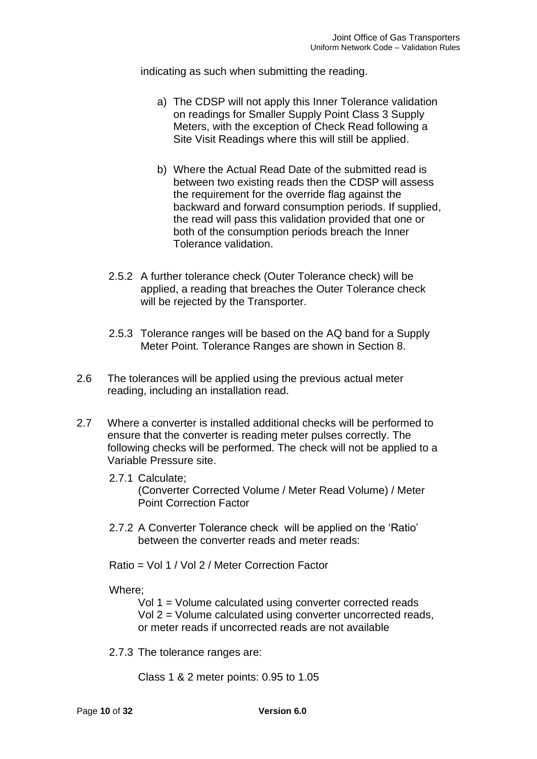indicating as such when submitting the reading.

- a) The CDSP will not apply this Inner Tolerance validation on readings for Smaller Supply Point Class 3 Supply Meters, with the exception of Check Read following a Site Visit Readings where this will still be applied.
- b) Where the Actual Read Date of the submitted read is between two existing reads then the CDSP will assess the requirement for the override flag against the backward and forward consumption periods. If supplied, the read will pass this validation provided that one or both of the consumption periods breach the Inner Tolerance validation.
- 2.5.2 A further tolerance check (Outer Tolerance check) will be applied, a reading that breaches the Outer Tolerance check will be rejected by the Transporter.
- 2.5.3 Tolerance ranges will be based on the AQ band for a Supply Meter Point. Tolerance Ranges are shown in Section 8.
- 2.6 The tolerances will be applied using the previous actual meter reading, including an installation read.
- 2.7 Where a converter is installed additional checks will be performed to ensure that the converter is reading meter pulses correctly. The following checks will be performed. The check will not be applied to a Variable Pressure site.
	- 2.7.1 Calculate; (Converter Corrected Volume / Meter Read Volume) / Meter Point Correction Factor
	- 2.7.2 A Converter Tolerance check will be applied on the 'Ratio' between the converter reads and meter reads:

Ratio = Vol 1 / Vol 2 / Meter Correction Factor

Where;

Vol 1 = Volume calculated using converter corrected reads Vol 2 = Volume calculated using converter uncorrected reads, or meter reads if uncorrected reads are not available

2.7.3 The tolerance ranges are:

Class 1 & 2 meter points: 0.95 to 1.05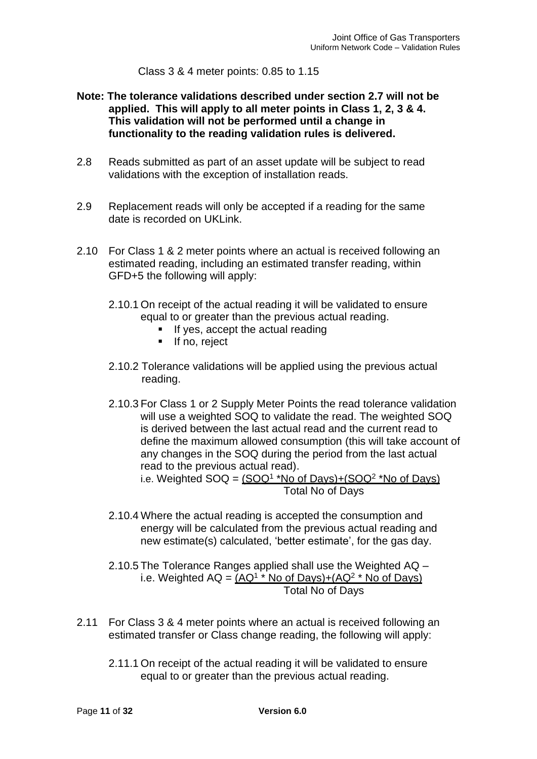Class 3 & 4 meter points: 0.85 to 1.15

- **Note: The tolerance validations described under section 2.7 will not be applied. This will apply to all meter points in Class 1, 2, 3 & 4. This validation will not be performed until a change in functionality to the reading validation rules is delivered.**
- 2.8 Reads submitted as part of an asset update will be subject to read validations with the exception of installation reads.
- 2.9 Replacement reads will only be accepted if a reading for the same date is recorded on UKLink.
- 2.10 For Class 1 & 2 meter points where an actual is received following an estimated reading, including an estimated transfer reading, within GFD+5 the following will apply:
	- 2.10.1 On receipt of the actual reading it will be validated to ensure equal to or greater than the previous actual reading.
		- If yes, accept the actual reading
		- **·** If no, reject
	- 2.10.2 Tolerance validations will be applied using the previous actual reading.
	- 2.10.3 For Class 1 or 2 Supply Meter Points the read tolerance validation will use a weighted SOQ to validate the read. The weighted SOQ is derived between the last actual read and the current read to define the maximum allowed consumption (this will take account of any changes in the SOQ during the period from the last actual read to the previous actual read).

i.e. Weighted SOQ = <u>(SOQ<sup>1</sup> \*No of Days)+(SOQ<sup>2</sup> \*No of Days)</u> Total No of Days

- 2.10.4 Where the actual reading is accepted the consumption and energy will be calculated from the previous actual reading and new estimate(s) calculated, 'better estimate', for the gas day.
- 2.10.5 The Tolerance Ranges applied shall use the Weighted AQ i.e. Weighted  $AQ = (AQ<sup>1</sup> * No of Days) + (AQ<sup>2</sup> * No of Days)$ Total No of Days
- 2.11 For Class 3 & 4 meter points where an actual is received following an estimated transfer or Class change reading, the following will apply:
	- 2.11.1 On receipt of the actual reading it will be validated to ensure equal to or greater than the previous actual reading.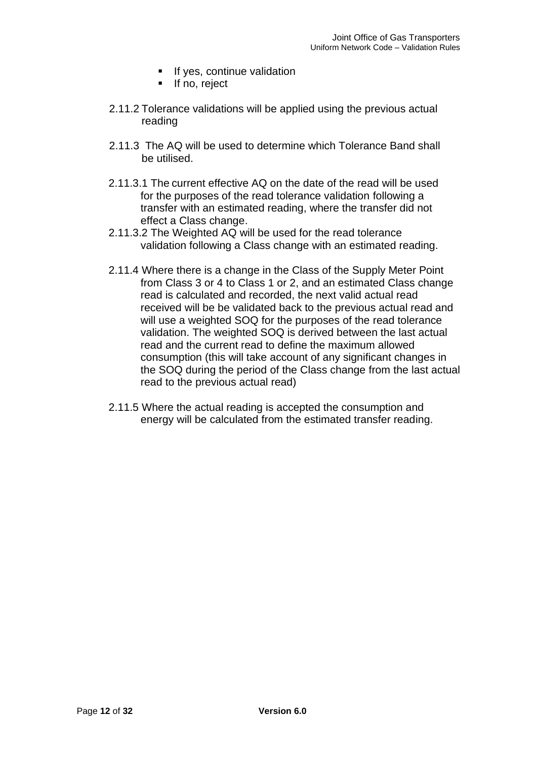- **■** If yes, continue validation
- **·** If no, reject
- 2.11.2 Tolerance validations will be applied using the previous actual reading
- 2.11.3 The AQ will be used to determine which Tolerance Band shall be utilised.
- 2.11.3.1 The current effective AQ on the date of the read will be used for the purposes of the read tolerance validation following a transfer with an estimated reading, where the transfer did not effect a Class change.
- 2.11.3.2 The Weighted AQ will be used for the read tolerance validation following a Class change with an estimated reading.
- 2.11.4 Where there is a change in the Class of the Supply Meter Point from Class 3 or 4 to Class 1 or 2, and an estimated Class change read is calculated and recorded, the next valid actual read received will be be validated back to the previous actual read and will use a weighted SOQ for the purposes of the read tolerance validation. The weighted SOQ is derived between the last actual read and the current read to define the maximum allowed consumption (this will take account of any significant changes in the SOQ during the period of the Class change from the last actual read to the previous actual read)
- 2.11.5 Where the actual reading is accepted the consumption and energy will be calculated from the estimated transfer reading.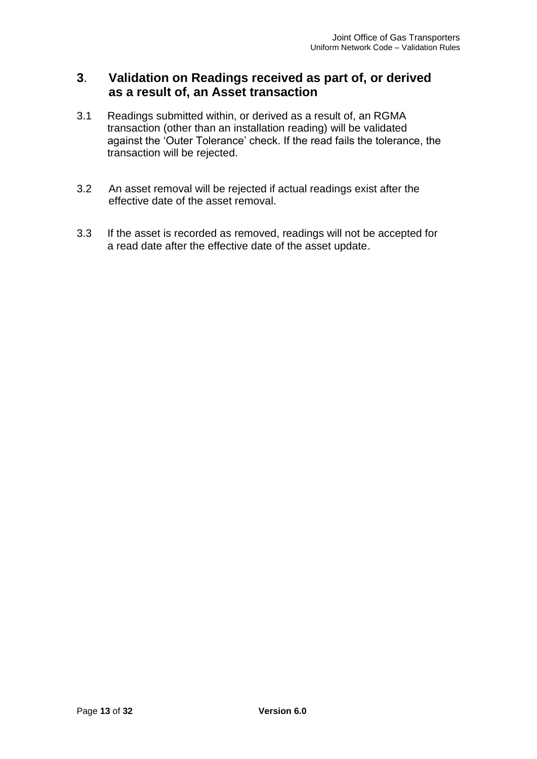### **3**. **Validation on Readings received as part of, or derived as a result of, an Asset transaction**

- 3.1 Readings submitted within, or derived as a result of, an RGMA transaction (other than an installation reading) will be validated against the 'Outer Tolerance' check. If the read fails the tolerance, the transaction will be rejected.
- 3.2 An asset removal will be rejected if actual readings exist after the effective date of the asset removal.
- 3.3 If the asset is recorded as removed, readings will not be accepted for a read date after the effective date of the asset update.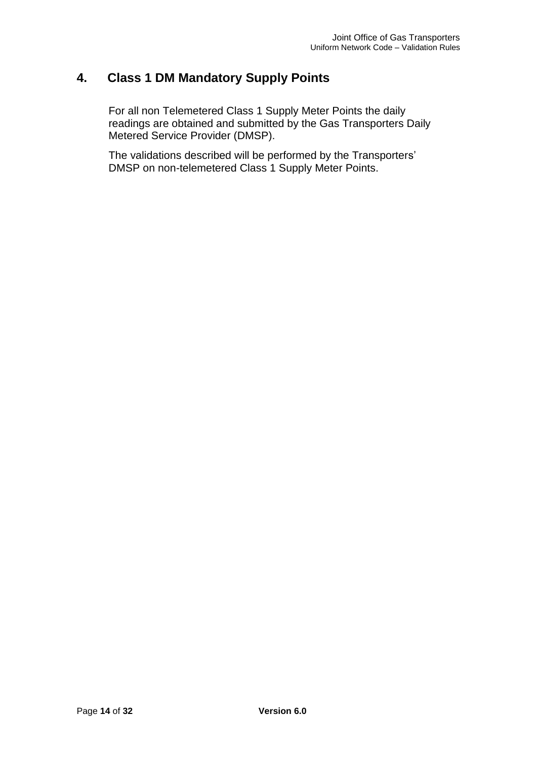# **4. Class 1 DM Mandatory Supply Points**

For all non Telemetered Class 1 Supply Meter Points the daily readings are obtained and submitted by the Gas Transporters Daily Metered Service Provider (DMSP).

The validations described will be performed by the Transporters' DMSP on non-telemetered Class 1 Supply Meter Points.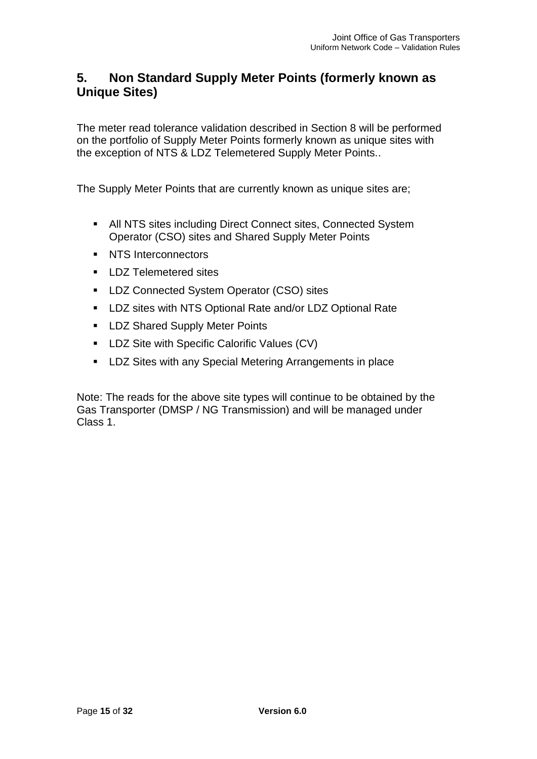# **5. Non Standard Supply Meter Points (formerly known as Unique Sites)**

The meter read tolerance validation described in Section 8 will be performed on the portfolio of Supply Meter Points formerly known as unique sites with the exception of NTS & LDZ Telemetered Supply Meter Points..

The Supply Meter Points that are currently known as unique sites are;

- **EXECT All NTS sites including Direct Connect sites, Connected System** Operator (CSO) sites and Shared Supply Meter Points
- NTS Interconnectors
- LDZ Telemetered sites
- LDZ Connected System Operator (CSO) sites
- LDZ sites with NTS Optional Rate and/or LDZ Optional Rate
- LDZ Shared Supply Meter Points
- LDZ Site with Specific Calorific Values (CV)
- LDZ Sites with any Special Metering Arrangements in place

Note: The reads for the above site types will continue to be obtained by the Gas Transporter (DMSP / NG Transmission) and will be managed under Class 1.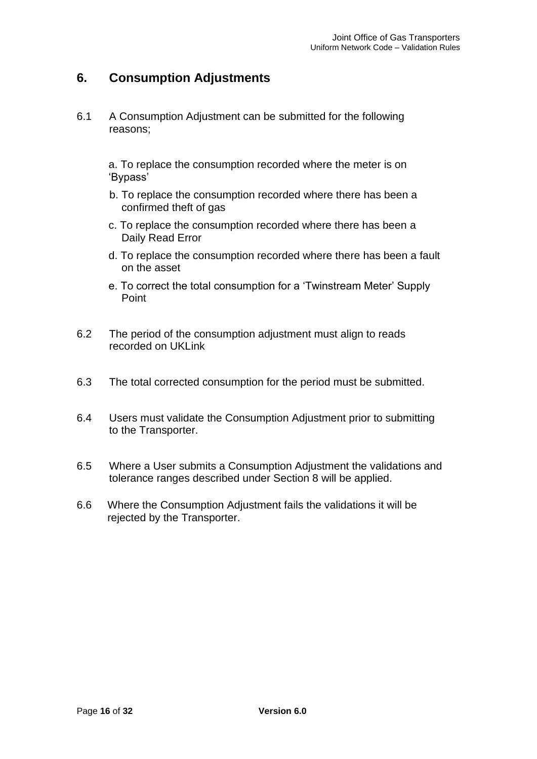### **6. Consumption Adjustments**

6.1 A Consumption Adjustment can be submitted for the following reasons;

a. To replace the consumption recorded where the meter is on 'Bypass'

- b. To replace the consumption recorded where there has been a confirmed theft of gas
- c. To replace the consumption recorded where there has been a Daily Read Error
- d. To replace the consumption recorded where there has been a fault on the asset
- e. To correct the total consumption for a 'Twinstream Meter' Supply Point
- 6.2 The period of the consumption adjustment must align to reads recorded on UKLink
- 6.3 The total corrected consumption for the period must be submitted.
- 6.4 Users must validate the Consumption Adjustment prior to submitting to the Transporter.
- 6.5 Where a User submits a Consumption Adjustment the validations and tolerance ranges described under Section 8 will be applied.
- 6.6 Where the Consumption Adjustment fails the validations it will be rejected by the Transporter.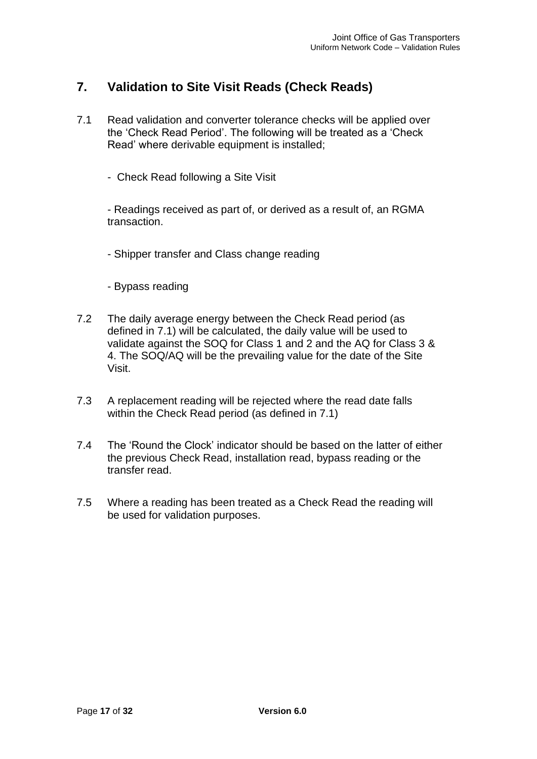# **7. Validation to Site Visit Reads (Check Reads)**

- 7.1 Read validation and converter tolerance checks will be applied over the 'Check Read Period'. The following will be treated as a 'Check Read' where derivable equipment is installed;
	- Check Read following a Site Visit

- Readings received as part of, or derived as a result of, an RGMA transaction.

- Shipper transfer and Class change reading
- Bypass reading
- 7.2 The daily average energy between the Check Read period (as defined in 7.1) will be calculated, the daily value will be used to validate against the SOQ for Class 1 and 2 and the AQ for Class 3 & 4. The SOQ/AQ will be the prevailing value for the date of the Site Visit.
- 7.3 A replacement reading will be rejected where the read date falls within the Check Read period (as defined in 7.1)
- 7.4 The 'Round the Clock' indicator should be based on the latter of either the previous Check Read, installation read, bypass reading or the transfer read.
- 7.5 Where a reading has been treated as a Check Read the reading will be used for validation purposes.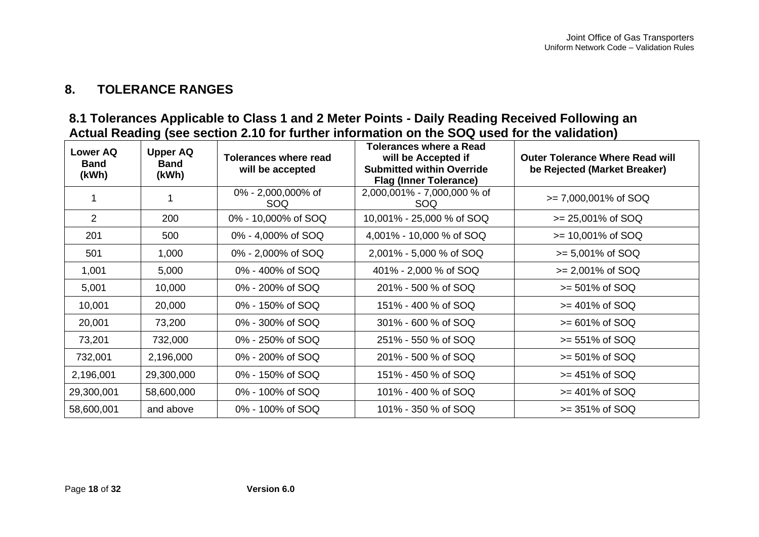## **8. TOLERANCE RANGES**

# **8.1 Tolerances Applicable to Class 1 and 2 Meter Points - Daily Reading Received Following an Actual Reading (see section 2.10 for further information on the SOQ used for the validation)**

| <b>Lower AQ</b><br><b>Band</b><br>(kWh) | <b>Upper AQ</b><br><b>Band</b><br>(kWh) | Tolerances where read<br>will be accepted | <b>Tolerances where a Read</b><br>will be Accepted if<br><b>Submitted within Override</b><br><b>Flag (Inner Tolerance)</b> | <b>Outer Tolerance Where Read will</b><br>be Rejected (Market Breaker) |
|-----------------------------------------|-----------------------------------------|-------------------------------------------|----------------------------------------------------------------------------------------------------------------------------|------------------------------------------------------------------------|
|                                         |                                         | 0% - 2,000,000% of<br>SOQ.                | 2,000,001% - 7,000,000 % of<br>SOQ                                                                                         | $>= 7,000,001\%$ of SOQ                                                |
| 2                                       | 200                                     | 0% - 10,000% of SOQ                       | 10,001% - 25,000 % of SOQ                                                                                                  | $>= 25,001\%$ of SOQ                                                   |
| 201                                     | 500                                     | 0% - 4,000% of SOQ                        | 4,001% - 10,000 % of SOQ                                                                                                   | $>= 10,001\%$ of SOQ                                                   |
| 501                                     | 1,000                                   | 0% - 2,000% of SOQ                        | 2,001% - 5,000 % of SOQ                                                                                                    | $>= 5,001\%$ of SOQ                                                    |
| 1,001                                   | 5,000                                   | 0% - 400% of SOQ                          | 401% - 2,000 % of SOQ                                                                                                      | $>= 2,001\%$ of SOQ                                                    |
| 5,001                                   | 10,000                                  | 0% - 200% of SOQ                          | 201% - 500 % of SOQ                                                                                                        | $>= 501\%$ of SOQ                                                      |
| 10,001                                  | 20,000                                  | 0% - 150% of SOQ                          | 151% - 400 % of SOQ                                                                                                        | $>= 401\%$ of SOQ                                                      |
| 20,001                                  | 73,200                                  | 0% - 300% of SOQ                          | 301% - 600 % of SOQ                                                                                                        | $>= 601\%$ of SOQ                                                      |
| 73,201                                  | 732,000                                 | 0% - 250% of SOQ                          | 251% - 550 % of SOQ                                                                                                        | $>= 551\%$ of SOQ                                                      |
| 732,001                                 | 2,196,000                               | 0% - 200% of SOQ                          | 201% - 500 % of SOQ                                                                                                        | $>= 501\%$ of SOQ                                                      |
| 2,196,001                               | 29,300,000                              | 0% - 150% of SOQ                          | 151% - 450 % of SOQ                                                                                                        | $>= 451\%$ of SOQ                                                      |
| 29,300,001                              | 58,600,000                              | 0% - 100% of SOQ                          | 101% - 400 % of SOQ                                                                                                        | $>= 401\%$ of SOQ                                                      |
| 58,600,001                              | and above                               | 0% - 100% of SOQ                          | 101% - 350 % of SOQ                                                                                                        | $>= 351\%$ of SOQ                                                      |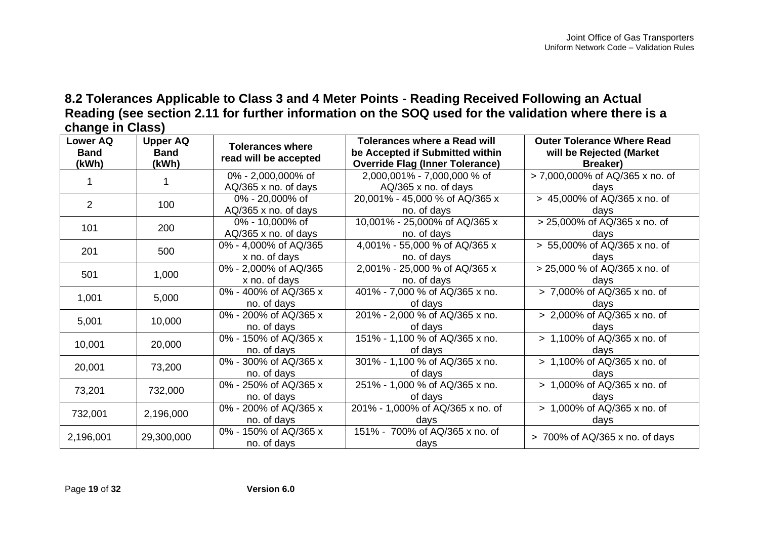# **8.2 Tolerances Applicable to Class 3 and 4 Meter Points - Reading Received Following an Actual Reading (see section 2.11 for further information on the SOQ used for the validation where there is a change in Class)**

| <b>Lower AQ</b><br><b>Band</b><br>(kWh) | <b>Upper AQ</b><br><b>Band</b><br>(kWh) | <b>Tolerances where</b><br>read will be accepted | Tolerances where a Read will<br>be Accepted if Submitted within<br><b>Override Flag (Inner Tolerance)</b> | <b>Outer Tolerance Where Read</b><br>will be Rejected (Market<br>Breaker) |
|-----------------------------------------|-----------------------------------------|--------------------------------------------------|-----------------------------------------------------------------------------------------------------------|---------------------------------------------------------------------------|
|                                         |                                         | 0% - 2,000,000% of<br>AQ/365 x no. of days       | 2,000,001% - 7,000,000 % of<br>AQ/365 x no. of days                                                       | > 7,000,000% of AQ/365 x no. of<br>days                                   |
| $\overline{2}$                          | 100                                     | 0% - 20,000% of<br>AQ/365 x no. of days          | 20,001% - 45,000 % of AQ/365 x<br>no. of days                                                             | > 45,000% of AQ/365 x no. of<br>days                                      |
| 101                                     | 200                                     | 0% - 10,000% of<br>AQ/365 x no. of days          | 10,001% - 25,000% of AQ/365 x<br>no. of days                                                              | > 25,000% of AQ/365 x no. of<br>days                                      |
| 201                                     | 500                                     | 0% - 4,000% of AQ/365<br>x no. of days           | 4,001% - 55,000 % of AQ/365 x<br>no. of days                                                              | $> 55,000\%$ of AQ/365 x no. of<br>days                                   |
| 501                                     | 1,000                                   | 0% - 2,000% of AQ/365<br>x no. of days           | 2,001% - 25,000 % of AQ/365 x<br>no. of days                                                              | > 25,000 % of AQ/365 x no. of<br>days                                     |
| 1,001                                   | 5,000                                   | 0% - 400% of AQ/365 x<br>no. of days             | 401% - 7,000 % of AQ/365 x no.<br>of days                                                                 | > 7,000% of AQ/365 x no. of<br>days                                       |
| 5,001                                   | 10,000                                  | 0% - 200% of AQ/365 x<br>no. of days             | 201% - 2,000 % of AQ/365 x no.<br>of days                                                                 | > 2,000% of AQ/365 x no. of<br>days                                       |
| 10,001                                  | 20,000                                  | 0% - 150% of AQ/365 x<br>no. of days             | 151% - 1,100 % of AQ/365 x no.<br>of days                                                                 | $\sqrt{5}$ 1,100% of AQ/365 x no. of<br>days                              |
| 20,001                                  | 73,200                                  | 0% - 300% of AQ/365 x<br>no. of days             | 301% - 1,100 % of AQ/365 x no.<br>of days                                                                 | > 1,100% of AQ/365 x no. of<br>days                                       |
| 73,201                                  | 732,000                                 | 0% - 250% of AQ/365 x<br>no. of days             | 251% - 1,000 % of AQ/365 x no.<br>of days                                                                 | > 1,000% of AQ/365 x no. of<br>days                                       |
| 732,001                                 | 2,196,000                               | 0% - 200% of AQ/365 x<br>no. of days             | 201% - 1,000% of AQ/365 x no. of<br>days                                                                  | > 1,000% of AQ/365 x no. of<br>days                                       |
| 2,196,001                               | 29,300,000                              | 0% - 150% of AQ/365 x<br>no. of days             | 151% - 700% of AQ/365 x no. of<br>days                                                                    | > 700% of AQ/365 x no. of days                                            |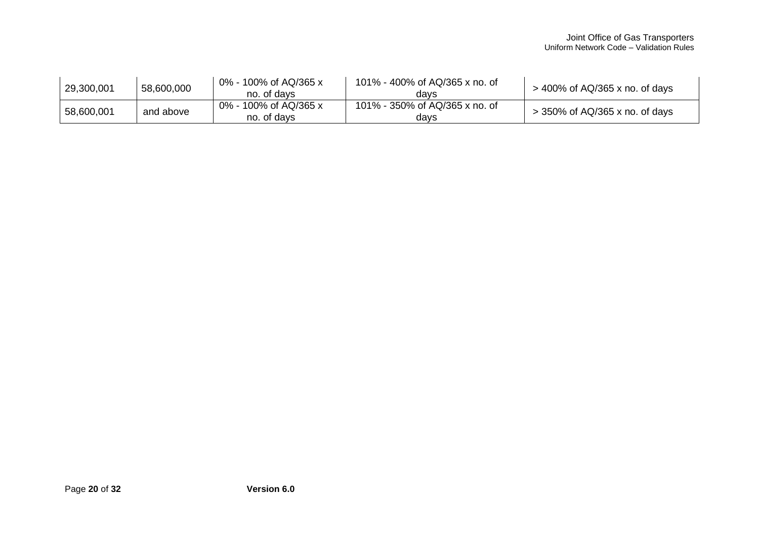| 29,300,001 | 58,600,000 | 0% - 100% of AQ/365 x<br>no. of davs | 101% - 400% of AQ/365 x no. of<br>davs | $>$ 400% of AQ/365 x no. of days |
|------------|------------|--------------------------------------|----------------------------------------|----------------------------------|
| 58,600,001 | and above  | 0% - 100% of AQ/365 x<br>no. of davs | 101% - 350% of AQ/365 x no. of<br>davs | $>$ 350% of AQ/365 x no. of days |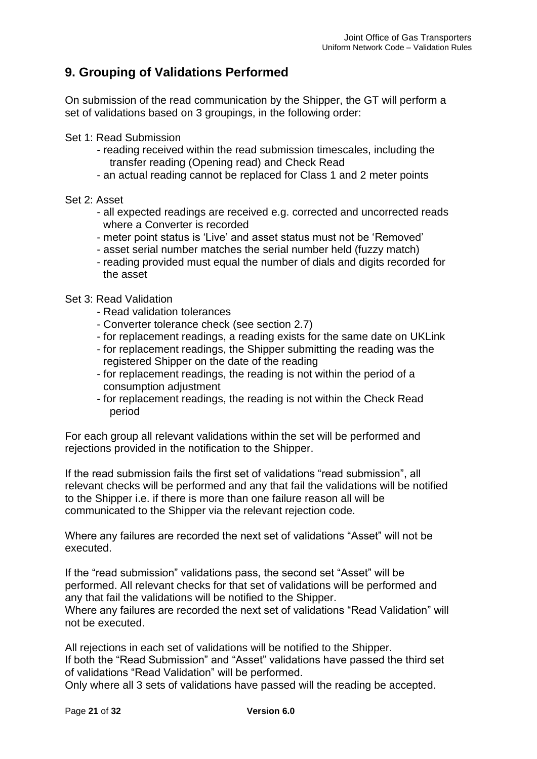## **9. Grouping of Validations Performed**

On submission of the read communication by the Shipper, the GT will perform a set of validations based on 3 groupings, in the following order:

#### Set 1: Read Submission

- reading received within the read submission timescales, including the transfer reading (Opening read) and Check Read
- an actual reading cannot be replaced for Class 1 and 2 meter points

#### Set 2: Asset

- all expected readings are received e.g. corrected and uncorrected reads where a Converter is recorded
- meter point status is 'Live' and asset status must not be 'Removed'
- asset serial number matches the serial number held (fuzzy match)
- reading provided must equal the number of dials and digits recorded for the asset

#### Set 3: Read Validation

- Read validation tolerances
- Converter tolerance check (see section 2.7)
- for replacement readings, a reading exists for the same date on UKLink
- for replacement readings, the Shipper submitting the reading was the registered Shipper on the date of the reading
- for replacement readings, the reading is not within the period of a consumption adjustment
- for replacement readings, the reading is not within the Check Read period

For each group all relevant validations within the set will be performed and rejections provided in the notification to the Shipper.

If the read submission fails the first set of validations "read submission", all relevant checks will be performed and any that fail the validations will be notified to the Shipper i.e. if there is more than one failure reason all will be communicated to the Shipper via the relevant rejection code.

Where any failures are recorded the next set of validations "Asset" will not be executed.

If the "read submission" validations pass, the second set "Asset" will be performed. All relevant checks for that set of validations will be performed and any that fail the validations will be notified to the Shipper. Where any failures are recorded the next set of validations "Read Validation" will not be executed.

All rejections in each set of validations will be notified to the Shipper. If both the "Read Submission" and "Asset" validations have passed the third set of validations "Read Validation" will be performed.

Only where all 3 sets of validations have passed will the reading be accepted.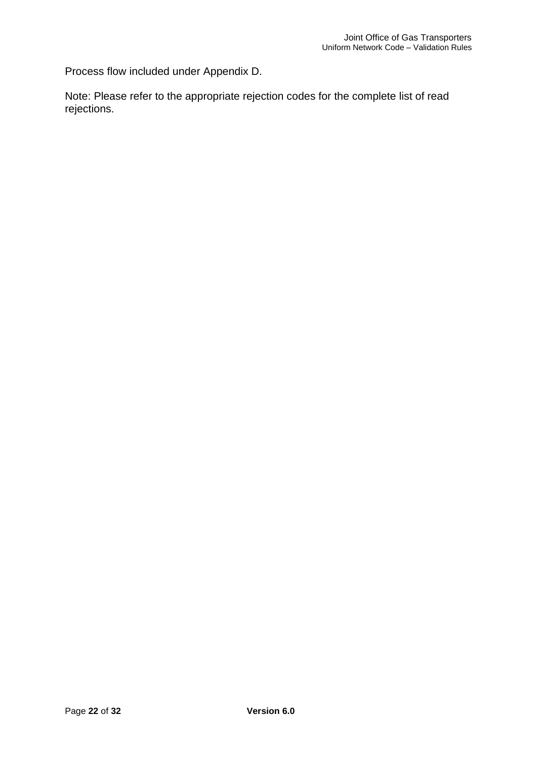Process flow included under Appendix D.

Note: Please refer to the appropriate rejection codes for the complete list of read rejections.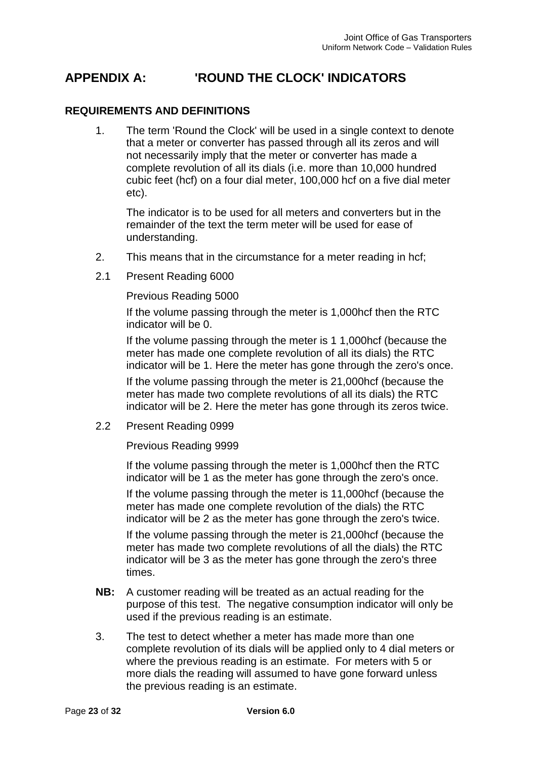# **APPENDIX A: 'ROUND THE CLOCK' INDICATORS**

### **REQUIREMENTS AND DEFINITIONS**

1. The term 'Round the Clock' will be used in a single context to denote that a meter or converter has passed through all its zeros and will not necessarily imply that the meter or converter has made a complete revolution of all its dials (i.e. more than 10,000 hundred cubic feet (hcf) on a four dial meter, 100,000 hcf on a five dial meter etc).

The indicator is to be used for all meters and converters but in the remainder of the text the term meter will be used for ease of understanding.

- 2. This means that in the circumstance for a meter reading in hcf;
- 2.1 Present Reading 6000

Previous Reading 5000

If the volume passing through the meter is 1,000hcf then the RTC indicator will be 0.

If the volume passing through the meter is 1 1,000hcf (because the meter has made one complete revolution of all its dials) the RTC indicator will be 1. Here the meter has gone through the zero's once.

If the volume passing through the meter is 21,000hcf (because the meter has made two complete revolutions of all its dials) the RTC indicator will be 2. Here the meter has gone through its zeros twice.

2.2 Present Reading 0999

Previous Reading 9999

If the volume passing through the meter is 1,000hcf then the RTC indicator will be 1 as the meter has gone through the zero's once. If the volume passing through the meter is 11,000hcf (because the meter has made one complete revolution of the dials) the RTC indicator will be 2 as the meter has gone through the zero's twice.

If the volume passing through the meter is 21,000hcf (because the meter has made two complete revolutions of all the dials) the RTC indicator will be 3 as the meter has gone through the zero's three times.

- **NB:** A customer reading will be treated as an actual reading for the purpose of this test. The negative consumption indicator will only be used if the previous reading is an estimate.
- 3. The test to detect whether a meter has made more than one complete revolution of its dials will be applied only to 4 dial meters or where the previous reading is an estimate. For meters with 5 or more dials the reading will assumed to have gone forward unless the previous reading is an estimate.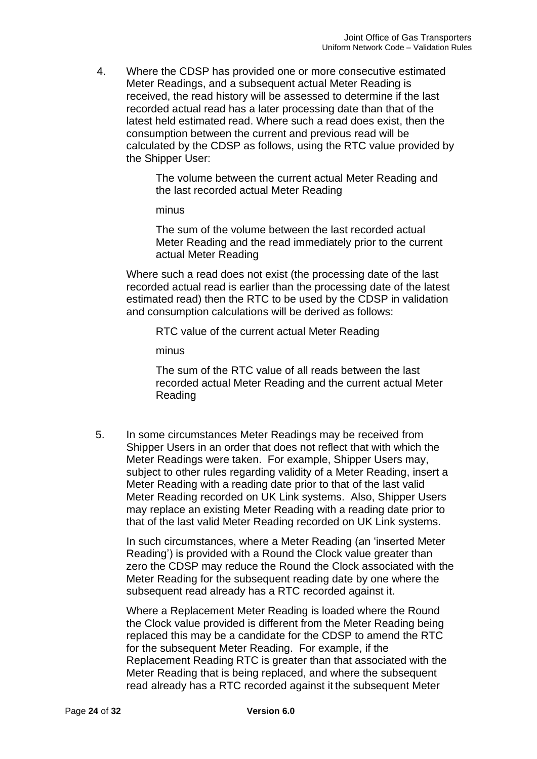4. Where the CDSP has provided one or more consecutive estimated Meter Readings, and a subsequent actual Meter Reading is received, the read history will be assessed to determine if the last recorded actual read has a later processing date than that of the latest held estimated read. Where such a read does exist, then the consumption between the current and previous read will be calculated by the CDSP as follows, using the RTC value provided by the Shipper User:

> The volume between the current actual Meter Reading and the last recorded actual Meter Reading

minus

The sum of the volume between the last recorded actual Meter Reading and the read immediately prior to the current actual Meter Reading

Where such a read does not exist (the processing date of the last recorded actual read is earlier than the processing date of the latest estimated read) then the RTC to be used by the CDSP in validation and consumption calculations will be derived as follows:

RTC value of the current actual Meter Reading

minus

The sum of the RTC value of all reads between the last recorded actual Meter Reading and the current actual Meter Reading

5. In some circumstances Meter Readings may be received from Shipper Users in an order that does not reflect that with which the Meter Readings were taken. For example, Shipper Users may, subject to other rules regarding validity of a Meter Reading, insert a Meter Reading with a reading date prior to that of the last valid Meter Reading recorded on UK Link systems. Also, Shipper Users may replace an existing Meter Reading with a reading date prior to that of the last valid Meter Reading recorded on UK Link systems.

In such circumstances, where a Meter Reading (an 'inserted Meter Reading') is provided with a Round the Clock value greater than zero the CDSP may reduce the Round the Clock associated with the Meter Reading for the subsequent reading date by one where the subsequent read already has a RTC recorded against it.

Where a Replacement Meter Reading is loaded where the Round the Clock value provided is different from the Meter Reading being replaced this may be a candidate for the CDSP to amend the RTC for the subsequent Meter Reading. For example, if the Replacement Reading RTC is greater than that associated with the Meter Reading that is being replaced, and where the subsequent read already has a RTC recorded against it the subsequent Meter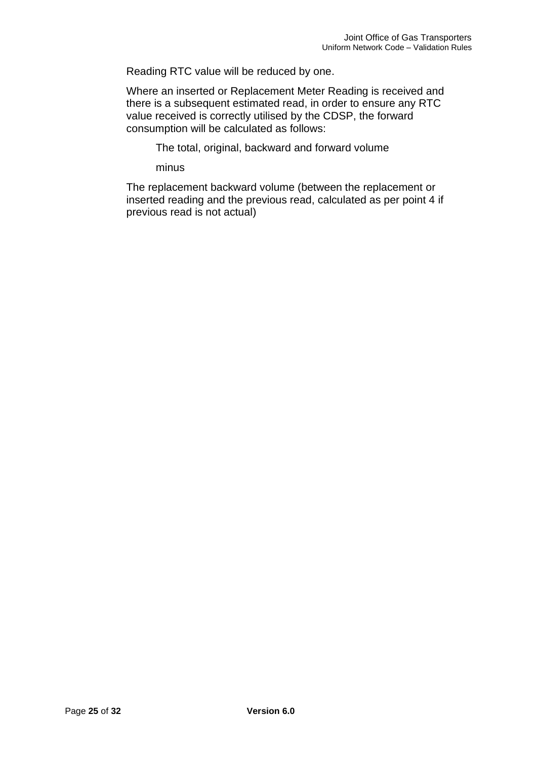Reading RTC value will be reduced by one.

Where an inserted or Replacement Meter Reading is received and there is a subsequent estimated read, in order to ensure any RTC value received is correctly utilised by the CDSP, the forward consumption will be calculated as follows:

The total, original, backward and forward volume

minus

The replacement backward volume (between the replacement or inserted reading and the previous read, calculated as per point 4 if previous read is not actual)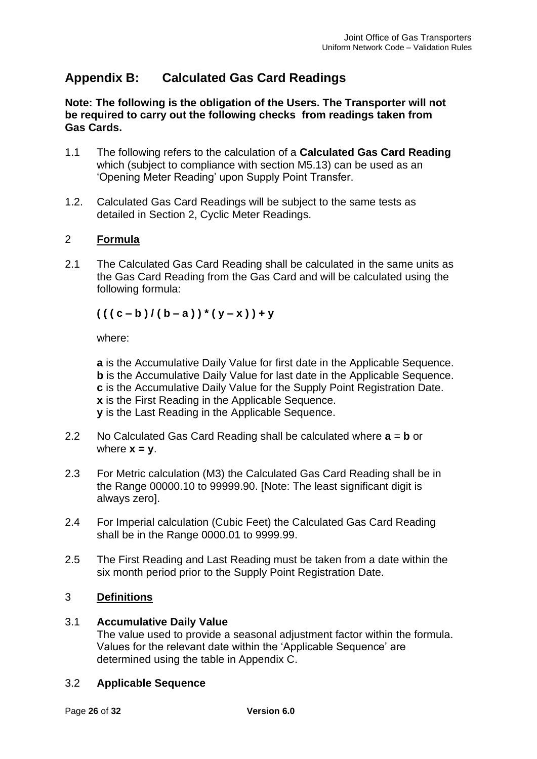# **Appendix B: Calculated Gas Card Readings**

**Note: The following is the obligation of the Users. The Transporter will not be required to carry out the following checks from readings taken from Gas Cards.** 

- 1.1 The following refers to the calculation of a **Calculated Gas Card Reading** which (subject to compliance with section M5.13) can be used as an 'Opening Meter Reading' upon Supply Point Transfer.
- 1.2. Calculated Gas Card Readings will be subject to the same tests as detailed in Section 2, Cyclic Meter Readings.

### 2 **Formula**

2.1 The Calculated Gas Card Reading shall be calculated in the same units as the Gas Card Reading from the Gas Card and will be calculated using the following formula:

## **( ( ( c – b ) / ( b – a ) ) \* ( y – x ) ) + y**

where:

**a** is the Accumulative Daily Value for first date in the Applicable Sequence. **b** is the Accumulative Daily Value for last date in the Applicable Sequence. **c** is the Accumulative Daily Value for the Supply Point Registration Date. **x** is the First Reading in the Applicable Sequence. **y** is the Last Reading in the Applicable Sequence.

- 2.2 No Calculated Gas Card Reading shall be calculated where **a** = **b** or where  $x = y$ .
- 2.3 For Metric calculation (M3) the Calculated Gas Card Reading shall be in the Range 00000.10 to 99999.90. [Note: The least significant digit is always zero].
- 2.4 For Imperial calculation (Cubic Feet) the Calculated Gas Card Reading shall be in the Range 0000.01 to 9999.99.
- 2.5 The First Reading and Last Reading must be taken from a date within the six month period prior to the Supply Point Registration Date.

### 3 **Definitions**

### 3.1 **Accumulative Daily Value**

The value used to provide a seasonal adjustment factor within the formula. Values for the relevant date within the 'Applicable Sequence' are determined using the table in Appendix C.

### 3.2 **Applicable Sequence**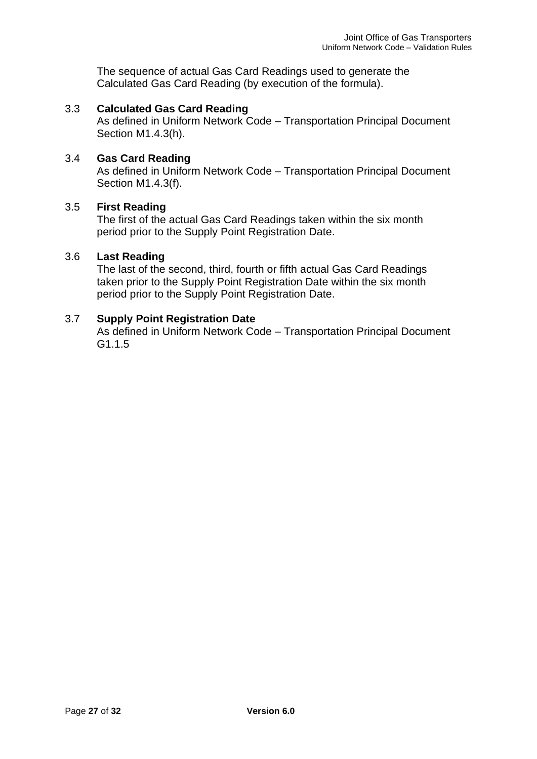The sequence of actual Gas Card Readings used to generate the Calculated Gas Card Reading (by execution of the formula).

### 3.3 **Calculated Gas Card Reading**

As defined in Uniform Network Code – Transportation Principal Document Section M1.4.3(h).

### 3.4 **Gas Card Reading**

As defined in Uniform Network Code – Transportation Principal Document Section M1.4.3(f).

### 3.5 **First Reading**

The first of the actual Gas Card Readings taken within the six month period prior to the Supply Point Registration Date.

#### 3.6 **Last Reading**

The last of the second, third, fourth or fifth actual Gas Card Readings taken prior to the Supply Point Registration Date within the six month period prior to the Supply Point Registration Date.

### 3.7 **Supply Point Registration Date**

As defined in Uniform Network Code – Transportation Principal Document G1.1.5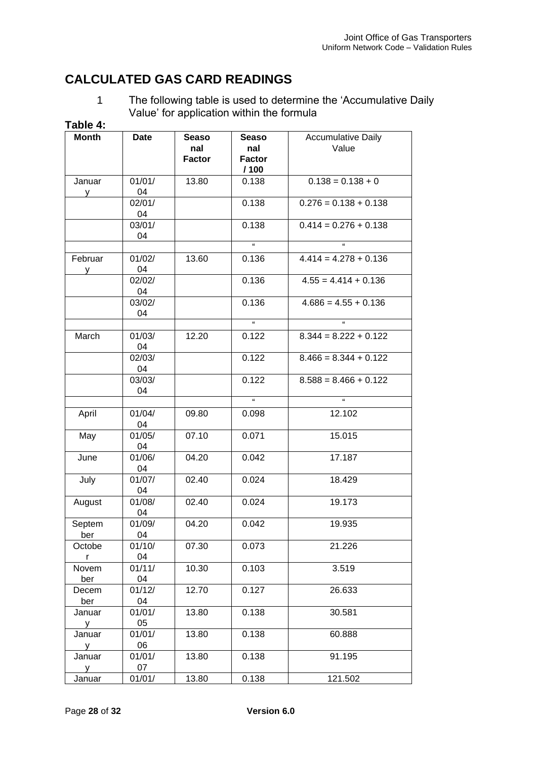# **CALCULATED GAS CARD READINGS**

1 The following table is used to determine the 'Accumulative Daily Value' for application within the formula

| Table 4:                |              |                                      |                                              |                                    |
|-------------------------|--------------|--------------------------------------|----------------------------------------------|------------------------------------|
| <b>Month</b>            | <b>Date</b>  | <b>Seaso</b><br>nal<br><b>Factor</b> | <b>Seaso</b><br>nal<br><b>Factor</b><br>/100 | <b>Accumulative Daily</b><br>Value |
| Januar                  | 01/01/<br>04 | 13.80                                | 0.138                                        | $0.138 = 0.138 + 0$                |
| v                       | 02/01/<br>04 |                                      | 0.138                                        | $0.276 = 0.138 + 0.138$            |
|                         | 03/01/<br>04 |                                      | 0.138                                        | $0.414 = 0.276 + 0.138$            |
|                         |              |                                      | $\mathbf{a}$                                 | $\alpha$                           |
| Februar<br>y            | 01/02/<br>04 | 13.60                                | 0.136                                        | $4.414 = 4.278 + 0.136$            |
|                         | 02/02/<br>04 |                                      | 0.136                                        | $4.55 = 4.414 + 0.136$             |
|                         | 03/02/<br>04 |                                      | 0.136                                        | $4.686 = 4.55 + 0.136$             |
|                         |              |                                      | $\mathbf{g}$                                 | $\alpha$                           |
| March                   | 01/03/<br>04 | 12.20                                | 0.122                                        | $8.344 = 8.222 + 0.122$            |
|                         | 02/03/<br>04 |                                      | 0.122                                        | $8.466 = 8.344 + 0.122$            |
|                         | 03/03/<br>04 |                                      | 0.122                                        | $8.588 = 8.466 + 0.122$            |
|                         |              |                                      | $\pmb{\mathfrak{u}}$                         | $\alpha$                           |
| April                   | 01/04/<br>04 | 09.80                                | 0.098                                        | 12.102                             |
| May                     | 01/05/<br>04 | 07.10                                | 0.071                                        | 15.015                             |
| June                    | 01/06/<br>04 | 04.20                                | 0.042                                        | 17.187                             |
| July                    | 01/07/<br>04 | 02.40                                | 0.024                                        | 18.429                             |
| August                  | 01/08/<br>04 | 02.40                                | 0.024                                        | 19.173                             |
| Septem<br>ber           | 01/09/<br>04 | 04.20                                | 0.042                                        | 19.935                             |
| Octobe<br>r.            | 01/10/<br>04 | 07.30                                | 0.073                                        | 21.226                             |
| Novem<br>ber            | 01/11/<br>04 | 10.30                                | 0.103                                        | 3.519                              |
| Decem<br>ber            | 01/12/<br>04 | 12.70                                | 0.127                                        | 26.633                             |
| Januar<br>y             | 01/01/<br>05 | 13.80                                | 0.138                                        | 30.581                             |
| Januar<br>$\frac{y}{x}$ | 01/01/<br>06 | 13.80                                | 0.138                                        | 60.888                             |
| Januar<br>y             | 01/01/<br>07 | 13.80                                | 0.138                                        | 91.195                             |
| Januar                  | 01/01/       | 13.80                                | 0.138                                        | 121.502                            |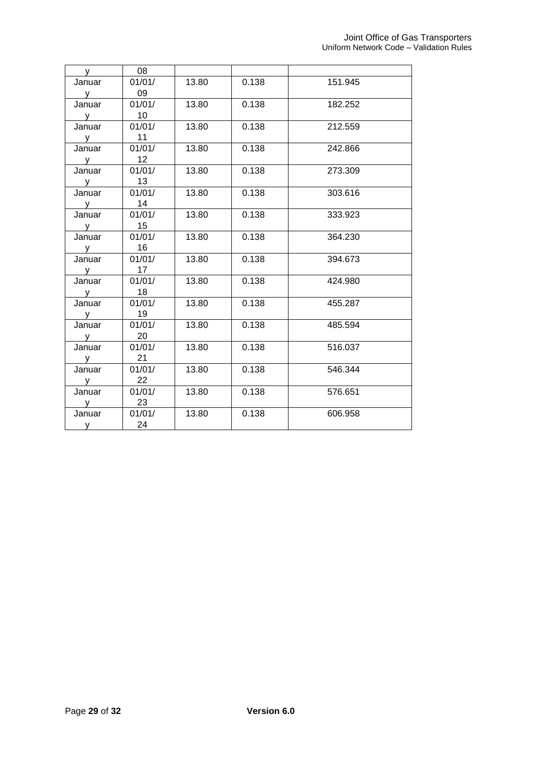| y            | 08     |       |       |         |
|--------------|--------|-------|-------|---------|
| Januar       | 01/01/ | 13.80 | 0.138 | 151.945 |
| y.           | - 09   |       |       |         |
| Januar       | 01/01/ | 13.80 | 0.138 | 182.252 |
| $\mathsf{y}$ | 10     |       |       |         |
| Januar       | 01/01/ | 13.80 | 0.138 | 212.559 |
| y            | 11     |       |       |         |
| Januar       | 01/01/ | 13.80 | 0.138 | 242.866 |
| y            | 12     |       |       |         |
| Januar       | 01/01/ | 13.80 | 0.138 | 273.309 |
| y            | 13     |       |       |         |
| Januar       | 01/01/ | 13.80 | 0.138 | 303.616 |
| $\mathsf{y}$ | 14     |       |       |         |
| Januar       | 01/01/ | 13.80 | 0.138 | 333.923 |
| y            | 15     |       |       |         |
| Januar       | 01/01/ | 13.80 | 0.138 | 364.230 |
| V            | - 16   |       |       |         |
| Januar       | 01/01/ | 13.80 | 0.138 | 394.673 |
| $\mathsf{y}$ | 17     |       |       |         |
| Januar       | 01/01/ | 13.80 | 0.138 | 424.980 |
| y            | 18     |       |       |         |
| Januar       | 01/01/ | 13.80 | 0.138 | 455.287 |
| $\mathsf{y}$ | 19     |       |       |         |
| Januar       | 01/01/ | 13.80 | 0.138 | 485.594 |
| V            | 20     |       |       |         |
| Januar       | 01/01/ | 13.80 | 0.138 | 516.037 |
| y            | 21     |       |       |         |
| Januar       | 01/01/ | 13.80 | 0.138 | 546.344 |
| y            | 22     |       |       |         |
| Januar       | 01/01/ | 13.80 | 0.138 | 576.651 |
| V            | 23     |       |       |         |
| Januar       | 01/01/ | 13.80 | 0.138 | 606.958 |
| y            | 24     |       |       |         |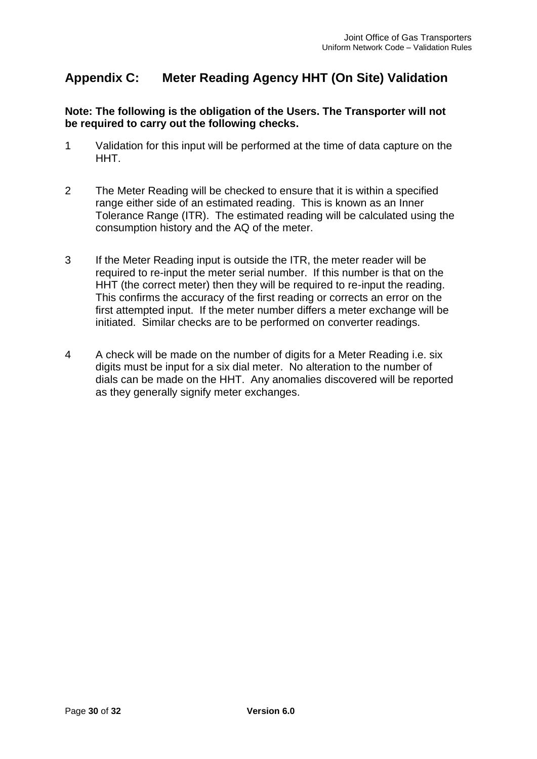# **Appendix C: Meter Reading Agency HHT (On Site) Validation**

### **Note: The following is the obligation of the Users. The Transporter will not be required to carry out the following checks.**

- 1 Validation for this input will be performed at the time of data capture on the HHT.
- 2 The Meter Reading will be checked to ensure that it is within a specified range either side of an estimated reading. This is known as an Inner Tolerance Range (ITR). The estimated reading will be calculated using the consumption history and the AQ of the meter.
- 3 If the Meter Reading input is outside the ITR, the meter reader will be required to re-input the meter serial number. If this number is that on the HHT (the correct meter) then they will be required to re-input the reading. This confirms the accuracy of the first reading or corrects an error on the first attempted input. If the meter number differs a meter exchange will be initiated. Similar checks are to be performed on converter readings.
- 4 A check will be made on the number of digits for a Meter Reading i.e. six digits must be input for a six dial meter. No alteration to the number of dials can be made on the HHT. Any anomalies discovered will be reported as they generally signify meter exchanges.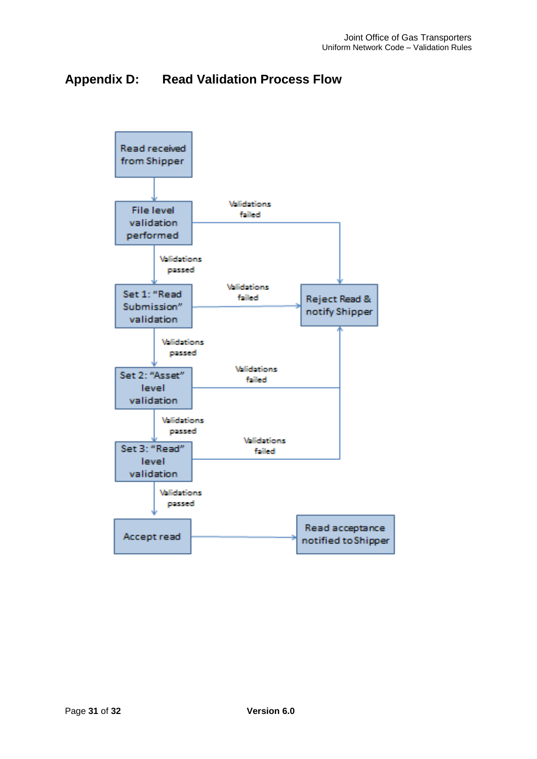# **Appendix D: Read Validation Process Flow**